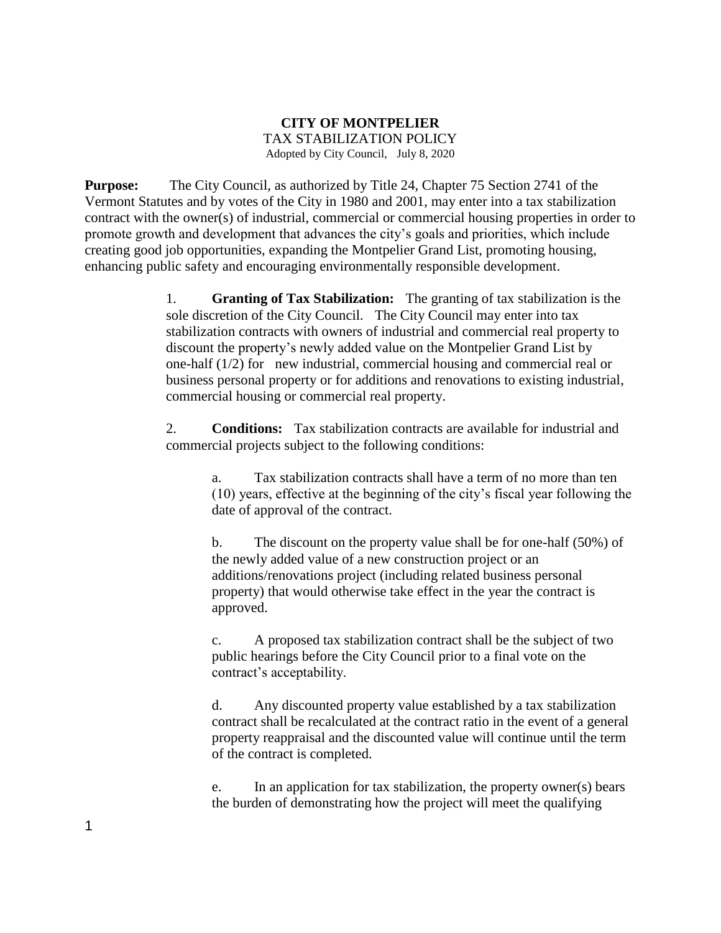## **CITY OF MONTPELIER**  TAX STABILIZATION POLICY Adopted by City Council, July 8, 2020

**Purpose:** The City Council, as authorized by Title 24, Chapter 75 Section 2741 of the Vermont Statutes and by votes of the City in 1980 and 2001, may enter into a tax stabilization contract with the owner(s) of industrial, commercial or commercial housing properties in order to promote growth and development that advances the city's goals and priorities, which include creating good job opportunities, expanding the Montpelier Grand List, promoting housing, enhancing public safety and encouraging environmentally responsible development.

> 1. **Granting of Tax Stabilization:** The granting of tax stabilization is the sole discretion of the City Council. The City Council may enter into tax stabilization contracts with owners of industrial and commercial real property to discount the property's newly added value on the Montpelier Grand List by one-half (1/2) for new industrial, commercial housing and commercial real or business personal property or for additions and renovations to existing industrial, commercial housing or commercial real property.

> 2. **Conditions:** Tax stabilization contracts are available for industrial and commercial projects subject to the following conditions:

a. Tax stabilization contracts shall have a term of no more than ten (10) years, effective at the beginning of the city's fiscal year following the date of approval of the contract.

b. The discount on the property value shall be for one-half (50%) of the newly added value of a new construction project or an additions/renovations project (including related business personal property) that would otherwise take effect in the year the contract is approved.

c. A proposed tax stabilization contract shall be the subject of two public hearings before the City Council prior to a final vote on the contract's acceptability.

d. Any discounted property value established by a tax stabilization contract shall be recalculated at the contract ratio in the event of a general property reappraisal and the discounted value will continue until the term of the contract is completed.

e. In an application for tax stabilization, the property owner(s) bears the burden of demonstrating how the project will meet the qualifying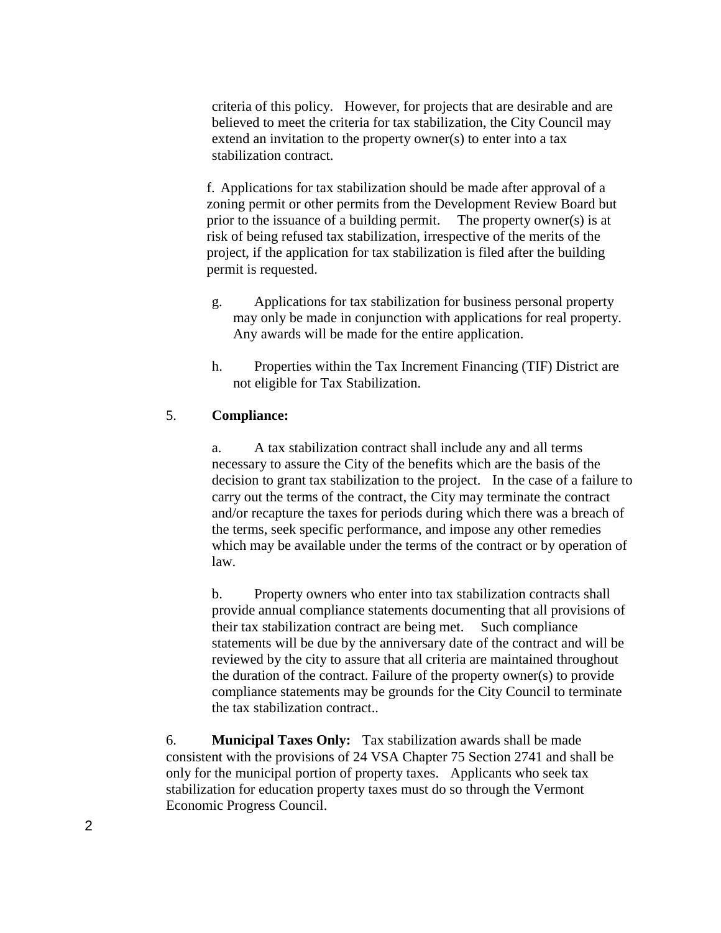criteria of this policy. However, for projects that are desirable and are believed to meet the criteria for tax stabilization, the City Council may extend an invitation to the property owner(s) to enter into a tax stabilization contract.

f. Applications for tax stabilization should be made after approval of a zoning permit or other permits from the Development Review Board but prior to the issuance of a building permit. The property owner(s) is at risk of being refused tax stabilization, irrespective of the merits of the project, if the application for tax stabilization is filed after the building permit is requested.

- g. Applications for tax stabilization for business personal property may only be made in conjunction with applications for real property. Any awards will be made for the entire application.
- h. Properties within the Tax Increment Financing (TIF) District are not eligible for Tax Stabilization.

## 5. **Compliance:**

a. A tax stabilization contract shall include any and all terms necessary to assure the City of the benefits which are the basis of the decision to grant tax stabilization to the project. In the case of a failure to carry out the terms of the contract, the City may terminate the contract and/or recapture the taxes for periods during which there was a breach of the terms, seek specific performance, and impose any other remedies which may be available under the terms of the contract or by operation of law.

b. Property owners who enter into tax stabilization contracts shall provide annual compliance statements documenting that all provisions of their tax stabilization contract are being met. Such compliance statements will be due by the anniversary date of the contract and will be reviewed by the city to assure that all criteria are maintained throughout the duration of the contract. Failure of the property owner(s) to provide compliance statements may be grounds for the City Council to terminate the tax stabilization contract..

6. **Municipal Taxes Only:** Tax stabilization awards shall be made consistent with the provisions of 24 VSA Chapter 75 Section 2741 and shall be only for the municipal portion of property taxes. Applicants who seek tax stabilization for education property taxes must do so through the Vermont Economic Progress Council.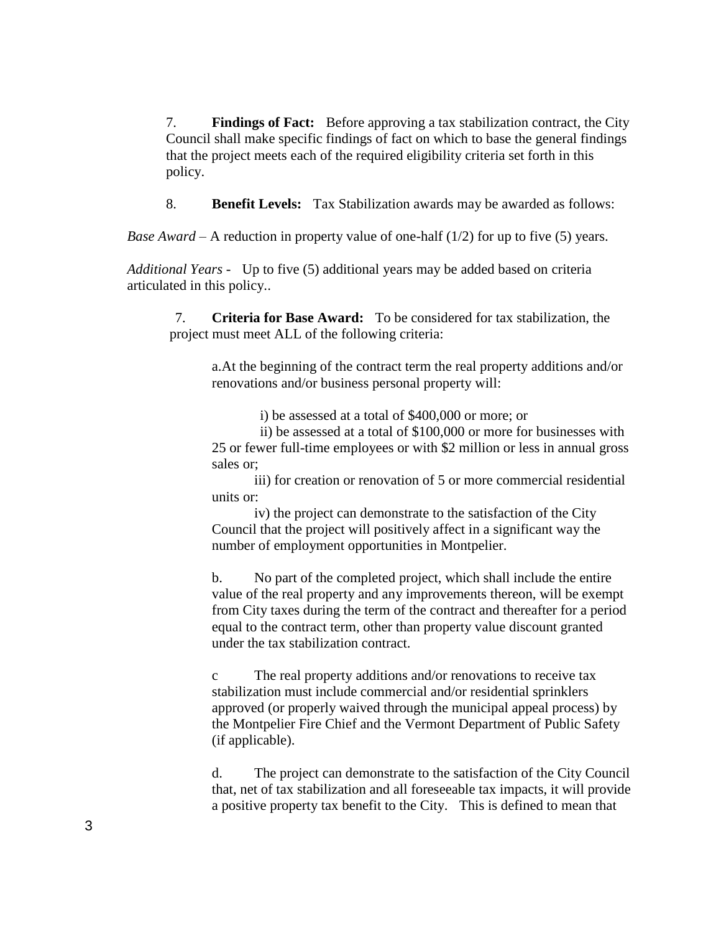7. **Findings of Fact:** Before approving a tax stabilization contract, the City Council shall make specific findings of fact on which to base the general findings that the project meets each of the required eligibility criteria set forth in this policy.

8. **Benefit Levels:** Tax Stabilization awards may be awarded as follows:

*Base Award* – A reduction in property value of one-half (1/2) for up to five (5) years.

*Additional Years -* Up to five (5) additional years may be added based on criteria articulated in this policy..

7. **Criteria for Base Award:** To be considered for tax stabilization, the project must meet ALL of the following criteria:

a.At the beginning of the contract term the real property additions and/or renovations and/or business personal property will:

i) be assessed at a total of \$400,000 or more; or

ii) be assessed at a total of \$100,000 or more for businesses with 25 or fewer full-time employees or with \$2 million or less in annual gross sales or;

iii) for creation or renovation of 5 or more commercial residential units or:

iv) the project can demonstrate to the satisfaction of the City Council that the project will positively affect in a significant way the number of employment opportunities in Montpelier.

b. No part of the completed project, which shall include the entire value of the real property and any improvements thereon, will be exempt from City taxes during the term of the contract and thereafter for a period equal to the contract term, other than property value discount granted under the tax stabilization contract.

c The real property additions and/or renovations to receive tax stabilization must include commercial and/or residential sprinklers approved (or properly waived through the municipal appeal process) by the Montpelier Fire Chief and the Vermont Department of Public Safety (if applicable).

d. The project can demonstrate to the satisfaction of the City Council that, net of tax stabilization and all foreseeable tax impacts, it will provide a positive property tax benefit to the City. This is defined to mean that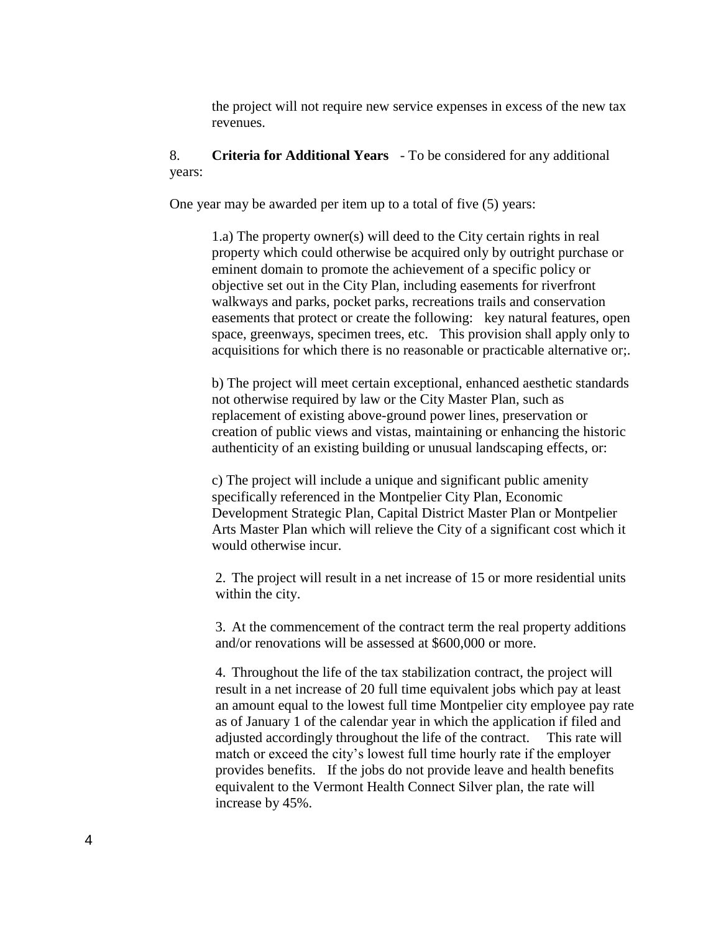the project will not require new service expenses in excess of the new tax revenues.

## 8. **Criteria for Additional Years** - To be considered for any additional years:

One year may be awarded per item up to a total of five (5) years:

1.a) The property owner(s) will deed to the City certain rights in real property which could otherwise be acquired only by outright purchase or eminent domain to promote the achievement of a specific policy or objective set out in the City Plan, including easements for riverfront walkways and parks, pocket parks, recreations trails and conservation easements that protect or create the following: key natural features, open space, greenways, specimen trees, etc. This provision shall apply only to acquisitions for which there is no reasonable or practicable alternative or;.

b) The project will meet certain exceptional, enhanced aesthetic standards not otherwise required by law or the City Master Plan, such as replacement of existing above-ground power lines, preservation or creation of public views and vistas, maintaining or enhancing the historic authenticity of an existing building or unusual landscaping effects, or:

c) The project will include a unique and significant public amenity specifically referenced in the Montpelier City Plan, Economic Development Strategic Plan, Capital District Master Plan or Montpelier Arts Master Plan which will relieve the City of a significant cost which it would otherwise incur.

2. The project will result in a net increase of 15 or more residential units within the city.

3. At the commencement of the contract term the real property additions and/or renovations will be assessed at \$600,000 or more.

4. Throughout the life of the tax stabilization contract, the project will result in a net increase of 20 full time equivalent jobs which pay at least an amount equal to the lowest full time Montpelier city employee pay rate as of January 1 of the calendar year in which the application if filed and adjusted accordingly throughout the life of the contract. This rate will match or exceed the city's lowest full time hourly rate if the employer provides benefits. If the jobs do not provide leave and health benefits equivalent to the Vermont Health Connect Silver plan, the rate will increase by 45%.